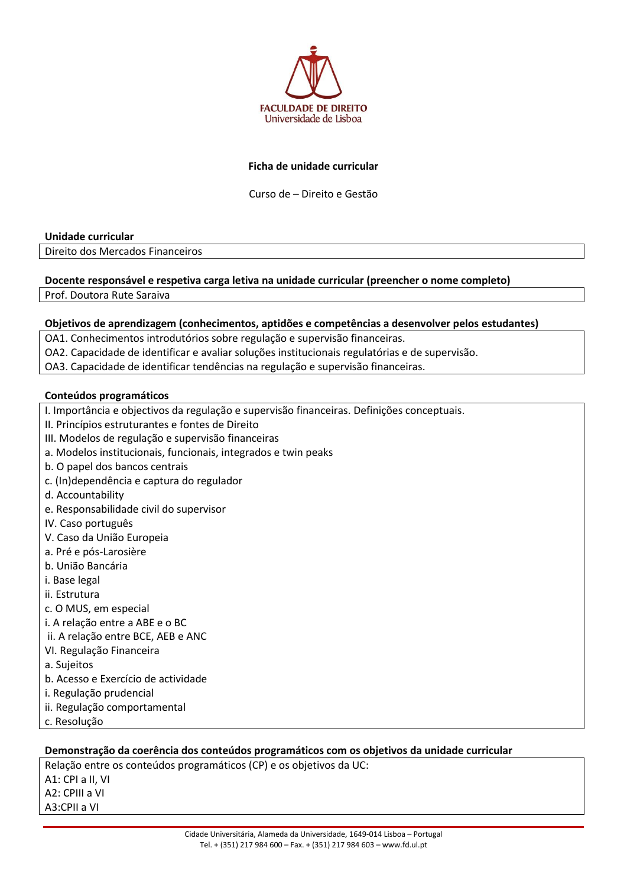

## **Ficha de unidade curricular**

Curso de – Direito e Gestão

#### **Unidade curricular**

Direito dos Mercados Financeiros

## **Docente responsável e respetiva carga letiva na unidade curricular (preencher o nome completo)**

Prof. Doutora Rute Saraiva

#### **Objetivos de aprendizagem (conhecimentos, aptidões e competências a desenvolver pelos estudantes)**

OA1. Conhecimentos introdutórios sobre regulação e supervisão financeiras.

- OA2. Capacidade de identificar e avaliar soluções institucionais regulatórias e de supervisão.
- OA3. Capacidade de identificar tendências na regulação e supervisão financeiras.

#### **Conteúdos programáticos**

- I. Importância e objectivos da regulação e supervisão financeiras. Definições conceptuais.
- II. Princípios estruturantes e fontes de Direito
- III. Modelos de regulação e supervisão financeiras
- a. Modelos institucionais, funcionais, integrados e twin peaks
- b. O papel dos bancos centrais
- c. (In)dependência e captura do regulador
- d. Accountability
- e. Responsabilidade civil do supervisor
- IV. Caso português
- V. Caso da União Europeia
- a. Pré e pós-Larosière
- b. União Bancária
- i. Base legal
- ii. Estrutura
- c. O MUS, em especial
- i. A relação entre a ABE e o BC
- ii. A relação entre BCE, AEB e ANC
- VI. Regulação Financeira
- a. Sujeitos
- b. Acesso e Exercício de actividade
- i. Regulação prudencial
- ii. Regulação comportamental
- c. Resolução

#### **Demonstração da coerência dos conteúdos programáticos com os objetivos da unidade curricular**

Relação entre os conteúdos programáticos (CP) e os objetivos da UC: A1: CPI a II, VI A2: CPIII a VI A3:CPII a VI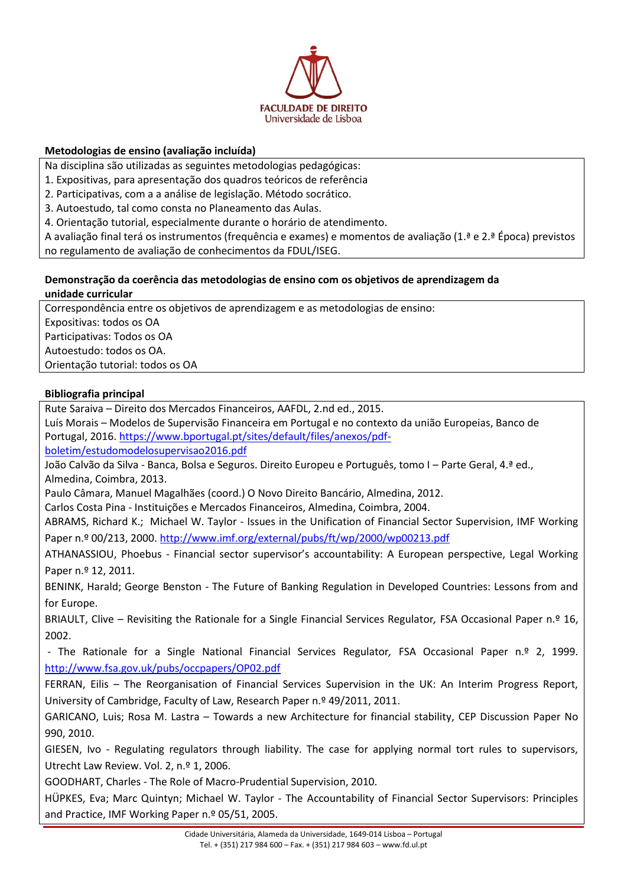

# **Metodologias de ensino (avaliação incluída)**

Na disciplina são utilizadas as seguintes metodologias pedagógicas:

- 1. Expositivas, para apresentação dos quadros teóricos de referência
- 2. Participativas, com a a análise de legislação. Método socrático.
- 3. Autoestudo, tal como consta no Planeamento das Aulas.

4. Orientação tutorial, especialmente durante o horário de atendimento.

A avaliação final terá os instrumentos (frequência e exames) e momentos de avaliação (1.ª e 2.ª Época) previstos no regulamento de avaliação de conhecimentos da FDUL/ISEG.

## **Demonstração da coerência das metodologias de ensino com os objetivos de aprendizagem da unidade curricular**

Correspondência entre os objetivos de aprendizagem e as metodologias de ensino: Expositivas: todos os OA Participativas: Todos os OA Autoestudo: todos os OA. Orientação tutorial: todos os OA

# **Bibliografia principal**

Rute Saraiva – Direito dos Mercados Financeiros, AAFDL, 2.nd ed., 2015.

Luís Morais – Modelos de Supervisão Financeira em Portugal e no contexto da união Europeias, Banco de Portugal, 2016. [https://www.bportugal.pt/sites/default/files/anexos/pdf-](https://www.bportugal.pt/sites/default/files/anexos/pdf-boletim/estudomodelosupervisao2016.pdf)

[boletim/estudomodelosupervisao2016.pdf](https://www.bportugal.pt/sites/default/files/anexos/pdf-boletim/estudomodelosupervisao2016.pdf)

João Calvão da Silva - Banca, Bolsa e Seguros. Direito Europeu e Português, tomo I – Parte Geral, 4.ª ed., Almedina, Coimbra, 2013.

Paulo Câmara, Manuel Magalhães (coord.) O Novo Direito Bancário, Almedina, 2012.

Carlos Costa Pina - Instituições e Mercados Financeiros, Almedina, Coimbra, 2004.

ABRAMS, Richard K.; Michael W. Taylor - Issues in the Unification of Financial Sector Supervision, IMF Working Paper n.º 00/213, 2000[. http://www.imf.org/external/pubs/ft/wp/2000/wp00213.pdf](http://www.imf.org/external/pubs/ft/wp/2000/wp00213.pdf)

ATHANASSIOU, Phoebus - Financial sector supervisor's accountability: A European perspective, Legal Working Paper n.º 12, 2011.

BENINK, Harald; George Benston - The Future of Banking Regulation in Developed Countries: Lessons from and for Europe.

BRIAULT, Clive – Revisiting the Rationale for a Single Financial Services Regulator*,* FSA Occasional Paper n.º 16, 2002.

- The Rationale for a Single National Financial Services Regulator*,* FSA Occasional Paper n.º 2, 1999. <http://www.fsa.gov.uk/pubs/occpapers/OP02.pdf>

FERRAN, Eilis – The Reorganisation of Financial Services Supervision in the UK: An Interim Progress Report, University of Cambridge, Faculty of Law, Research Paper n.º 49/2011, 2011.

GARICANO, Luis; Rosa M. Lastra – Towards a new Architecture for financial stability, CEP Discussion Paper No 990, 2010.

GIESEN, Ivo - Regulating regulators through liability. The case for applying normal tort rules to supervisors, Utrecht Law Review. Vol. 2, n.º 1, 2006.

GOODHART, Charles - The Role of Macro-Prudential Supervision, 2010.

HÜPKES, Eva; Marc Quintyn; Michael W. Taylor - The Accountability of Financial Sector Supervisors: Principles and Practice, IMF Working Paper n.º 05/51, 2005.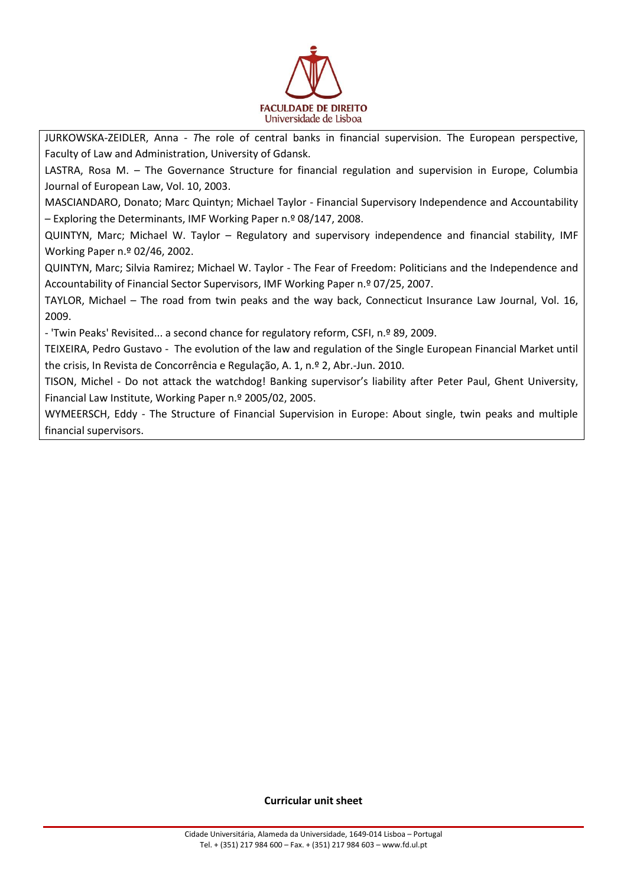

JURKOWSKA-ZEIDLER, Anna - *T*he role of central banks in financial supervision. The European perspective, Faculty of Law and Administration, University of Gdansk.

LASTRA, Rosa M. – The Governance Structure for financial regulation and supervision in Europe, Columbia Journal of European Law, Vol. 10, 2003.

MASCIANDARO, Donato; Marc Quintyn; Michael Taylor - Financial Supervisory Independence and Accountability – Exploring the Determinants, IMF Working Paper n.º 08/147, 2008.

QUINTYN, Marc; Michael W. Taylor – Regulatory and supervisory independence and financial stability, IMF Working Paper n.º 02/46, 2002.

QUINTYN, Marc; Silvia Ramirez; Michael W. Taylor - The Fear of Freedom: Politicians and the Independence and Accountability of Financial Sector Supervisors, IMF Working Paper n.º 07/25, 2007.

TAYLOR, Michael – The road from twin peaks and the way back, Connecticut Insurance Law Journal, Vol. 16, 2009.

- 'Twin Peaks' Revisited... a second chance for regulatory reform, CSFI, n.º 89, 2009.

TEIXEIRA, Pedro Gustavo - The evolution of the law and regulation of the Single European Financial Market until the crisis, In Revista de Concorrência e Regulação, A. 1, n.º 2, Abr.-Jun. 2010.

TISON, Michel - Do not attack the watchdog! Banking supervisor's liability after Peter Paul, Ghent University, Financial Law Institute, Working Paper n.º 2005/02, 2005.

WYMEERSCH, Eddy - The Structure of Financial Supervision in Europe: About single, twin peaks and multiple financial supervisors.

**Curricular unit sheet**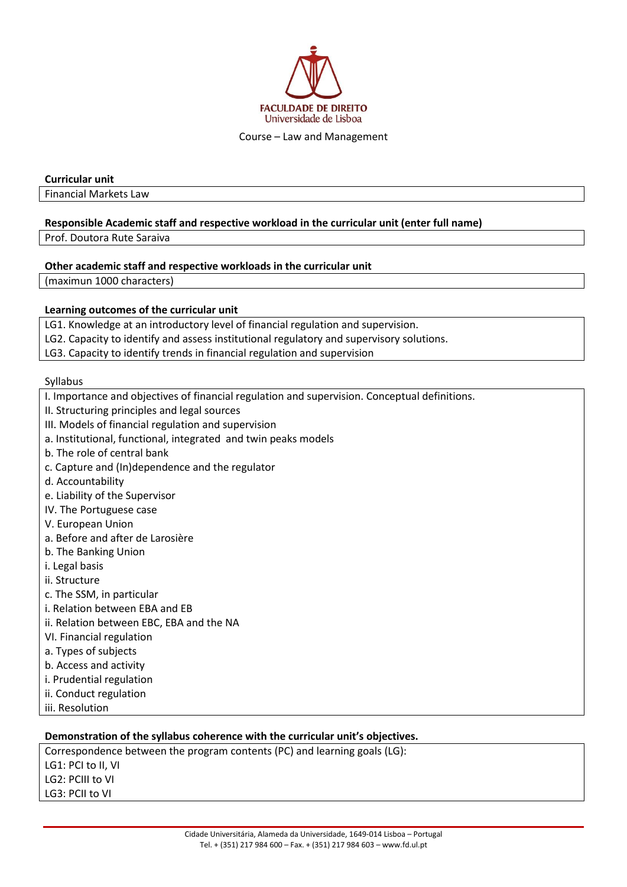

Course – Law and Management

#### **Curricular unit**

Financial Markets Law

#### **Responsible Academic staff and respective workload in the curricular unit (enter full name)**

Prof. Doutora Rute Saraiva

#### **Other academic staff and respective workloads in the curricular unit**

(maximun 1000 characters)

## **Learning outcomes of the curricular unit**

LG1. Knowledge at an introductory level of financial regulation and supervision.

LG2. Capacity to identify and assess institutional regulatory and supervisory solutions.

LG3. Capacity to identify trends in financial regulation and supervision

#### Syllabus

I. Importance and objectives of financial regulation and supervision. Conceptual definitions.

- II. Structuring principles and legal sources
- III. Models of financial regulation and supervision
- a. Institutional, functional, integrated and twin peaks models
- b. The role of central bank
- c. Capture and (In)dependence and the regulator
- d. Accountability
- e. Liability of the Supervisor
- IV. The Portuguese case
- V. European Union
- a. Before and after de Larosière
- b. The Banking Union
- i. Legal basis
- ii. Structure
- c. The SSM, in particular
- i. Relation between EBA and EB
- ii. Relation between EBC, EBA and the NA
- VI. Financial regulation
- a. Types of subjects
- b. Access and activity
- i. Prudential regulation
- ii. Conduct regulation
- iii. Resolution

## **Demonstration of the syllabus coherence with the curricular unit's objectives.**

Correspondence between the program contents (PC) and learning goals (LG): LG1: PCI to II, VI LG2: PCIII to VI LG3: PCII to VI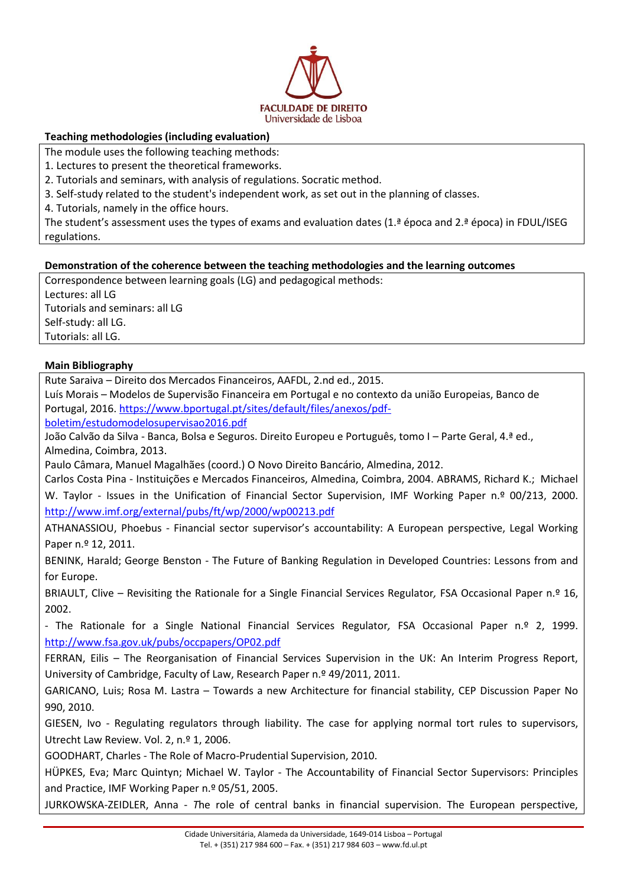

# **Teaching methodologies (including evaluation)**

The module uses the following teaching methods:

- 1. Lectures to present the theoretical frameworks.
- 2. Tutorials and seminars, with analysis of regulations. Socratic method.
- 3. Self-study related to the student's independent work, as set out in the planning of classes.
- 4. Tutorials, namely in the office hours.

The student's assessment uses the types of exams and evaluation dates (1.ª época and 2.ª época) in FDUL/ISEG regulations.

## **Demonstration of the coherence between the teaching methodologies and the learning outcomes**

Correspondence between learning goals (LG) and pedagogical methods: Lectures: all LG Tutorials and seminars: all LG Self-study: all LG. Tutorials: all LG.

## **Main Bibliography**

Rute Saraiva – Direito dos Mercados Financeiros, AAFDL, 2.nd ed., 2015.

Luís Morais – Modelos de Supervisão Financeira em Portugal e no contexto da união Europeias, Banco de Portugal, 2016. [https://www.bportugal.pt/sites/default/files/anexos/pdf-](https://www.bportugal.pt/sites/default/files/anexos/pdf-boletim/estudomodelosupervisao2016.pdf)

[boletim/estudomodelosupervisao2016.pdf](https://www.bportugal.pt/sites/default/files/anexos/pdf-boletim/estudomodelosupervisao2016.pdf)

João Calvão da Silva - Banca, Bolsa e Seguros. Direito Europeu e Português, tomo I – Parte Geral, 4.ª ed., Almedina, Coimbra, 2013.

Paulo Câmara, Manuel Magalhães (coord.) O Novo Direito Bancário, Almedina, 2012.

Carlos Costa Pina - Instituições e Mercados Financeiros, Almedina, Coimbra, 2004. ABRAMS, Richard K.; Michael W. Taylor - Issues in the Unification of Financial Sector Supervision, IMF Working Paper n.º 00/213, 2000. <http://www.imf.org/external/pubs/ft/wp/2000/wp00213.pdf>

ATHANASSIOU, Phoebus - Financial sector supervisor's accountability: A European perspective, Legal Working Paper n.º 12, 2011.

BENINK, Harald; George Benston - The Future of Banking Regulation in Developed Countries: Lessons from and for Europe.

BRIAULT, Clive – Revisiting the Rationale for a Single Financial Services Regulator*,* FSA Occasional Paper n.º 16, 2002.

- The Rationale for a Single National Financial Services Regulator*,* FSA Occasional Paper n.º 2, 1999. <http://www.fsa.gov.uk/pubs/occpapers/OP02.pdf>

FERRAN, Eilis – The Reorganisation of Financial Services Supervision in the UK: An Interim Progress Report, University of Cambridge, Faculty of Law, Research Paper n.º 49/2011, 2011.

GARICANO, Luis; Rosa M. Lastra – Towards a new Architecture for financial stability, CEP Discussion Paper No 990, 2010.

GIESEN, Ivo - Regulating regulators through liability. The case for applying normal tort rules to supervisors, Utrecht Law Review. Vol. 2, n.º 1, 2006.

GOODHART, Charles - The Role of Macro-Prudential Supervision, 2010.

HÜPKES, Eva; Marc Quintyn; Michael W. Taylor - The Accountability of Financial Sector Supervisors: Principles and Practice, IMF Working Paper n.º 05/51, 2005.

JURKOWSKA-ZEIDLER, Anna - *T*he role of central banks in financial supervision. The European perspective,